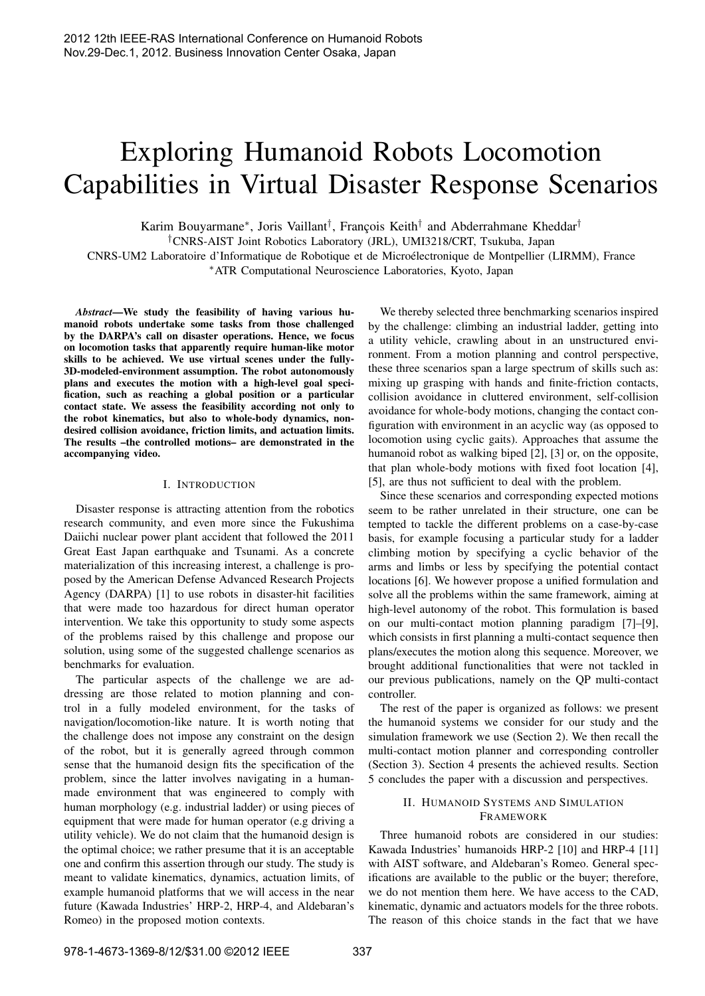# Exploring Humanoid Robots Locomotion Capabilities in Virtual Disaster Response Scenarios

Karim Bouyarmane<sup>∗</sup>, Joris Vaillant<sup>†</sup>, François Keith<sup>†</sup> and Abderrahmane Kheddar<sup>†</sup>

†CNRS-AIST Joint Robotics Laboratory (JRL), UMI3218/CRT, Tsukuba, Japan

CNRS-UM2 Laboratoire d'Informatique de Robotique et de Microelectronique de Montpellier (LIRMM), France ´

∗ATR Computational Neuroscience Laboratories, Kyoto, Japan

*Abstract*—We study the feasibility of having various humanoid robots undertake some tasks from those challenged by the DARPA's call on disaster operations. Hence, we focus on locomotion tasks that apparently require human-like motor skills to be achieved. We use virtual scenes under the fully-3D-modeled-environment assumption. The robot autonomously plans and executes the motion with a high-level goal specification, such as reaching a global position or a particular contact state. We assess the feasibility according not only to the robot kinematics, but also to whole-body dynamics, nondesired collision avoidance, friction limits, and actuation limits. The results –the controlled motions– are demonstrated in the accompanying video.

#### I. INTRODUCTION

Disaster response is attracting attention from the robotics research community, and even more since the Fukushima Daiichi nuclear power plant accident that followed the 2011 Great East Japan earthquake and Tsunami. As a concrete materialization of this increasing interest, a challenge is proposed by the American Defense Advanced Research Projects Agency (DARPA) [1] to use robots in disaster-hit facilities that were made too hazardous for direct human operator intervention. We take this opportunity to study some aspects of the problems raised by this challenge and propose our solution, using some of the suggested challenge scenarios as benchmarks for evaluation.

The particular aspects of the challenge we are addressing are those related to motion planning and control in a fully modeled environment, for the tasks of navigation/locomotion-like nature. It is worth noting that the challenge does not impose any constraint on the design of the robot, but it is generally agreed through common sense that the humanoid design fits the specification of the problem, since the latter involves navigating in a humanmade environment that was engineered to comply with human morphology (e.g. industrial ladder) or using pieces of equipment that were made for human operator (e.g driving a utility vehicle). We do not claim that the humanoid design is the optimal choice; we rather presume that it is an acceptable one and confirm this assertion through our study. The study is meant to validate kinematics, dynamics, actuation limits, of example humanoid platforms that we will access in the near future (Kawada Industries' HRP-2, HRP-4, and Aldebaran's Romeo) in the proposed motion contexts.

We thereby selected three benchmarking scenarios inspired by the challenge: climbing an industrial ladder, getting into a utility vehicle, crawling about in an unstructured environment. From a motion planning and control perspective, these three scenarios span a large spectrum of skills such as: mixing up grasping with hands and finite-friction contacts, collision avoidance in cluttered environment, self-collision avoidance for whole-body motions, changing the contact configuration with environment in an acyclic way (as opposed to locomotion using cyclic gaits). Approaches that assume the humanoid robot as walking biped [2], [3] or, on the opposite, that plan whole-body motions with fixed foot location [4], [5], are thus not sufficient to deal with the problem.

Since these scenarios and corresponding expected motions seem to be rather unrelated in their structure, one can be tempted to tackle the different problems on a case-by-case basis, for example focusing a particular study for a ladder climbing motion by specifying a cyclic behavior of the arms and limbs or less by specifying the potential contact locations [6]. We however propose a unified formulation and solve all the problems within the same framework, aiming at high-level autonomy of the robot. This formulation is based on our multi-contact motion planning paradigm [7]–[9], which consists in first planning a multi-contact sequence then plans/executes the motion along this sequence. Moreover, we brought additional functionalities that were not tackled in our previous publications, namely on the QP multi-contact controller.

The rest of the paper is organized as follows: we present the humanoid systems we consider for our study and the simulation framework we use (Section 2). We then recall the multi-contact motion planner and corresponding controller (Section 3). Section 4 presents the achieved results. Section 5 concludes the paper with a discussion and perspectives.

## II. HUMANOID SYSTEMS AND SIMULATION **FRAMEWORK**

Three humanoid robots are considered in our studies: Kawada Industries' humanoids HRP-2 [10] and HRP-4 [11] with AIST software, and Aldebaran's Romeo. General specifications are available to the public or the buyer; therefore, we do not mention them here. We have access to the CAD, kinematic, dynamic and actuators models for the three robots. The reason of this choice stands in the fact that we have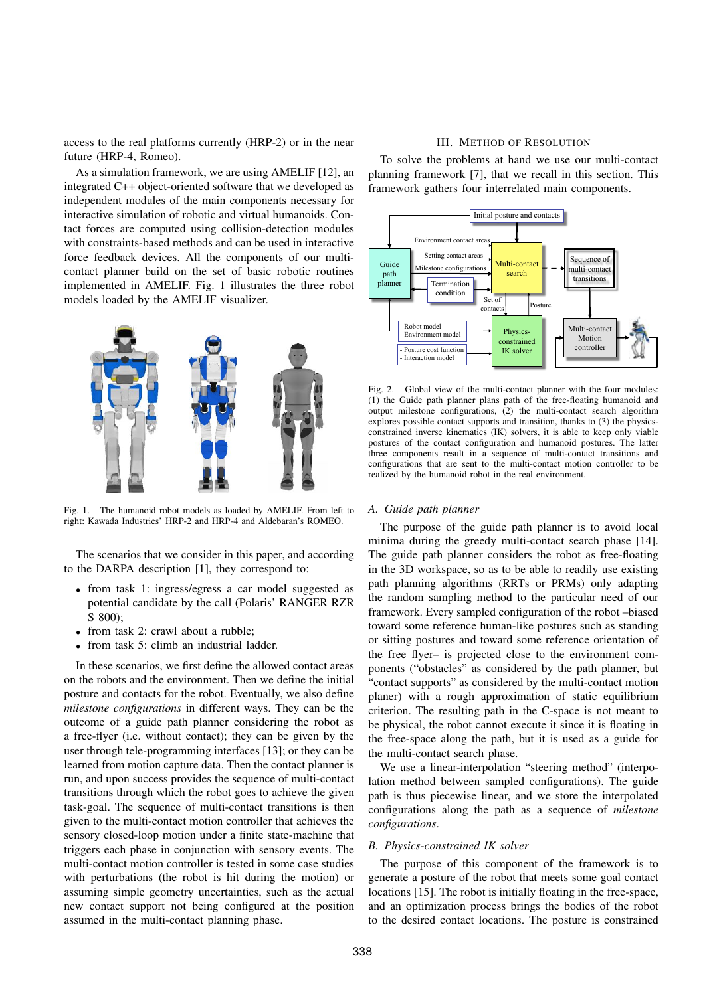access to the real platforms currently (HRP-2) or in the near future (HRP-4, Romeo).

As a simulation framework, we are using AMELIF [12], an integrated C++ object-oriented software that we developed as independent modules of the main components necessary for interactive simulation of robotic and virtual humanoids. Contact forces are computed using collision-detection modules with constraints-based methods and can be used in interactive force feedback devices. All the components of our multicontact planner build on the set of basic robotic routines implemented in AMELIF. Fig. 1 illustrates the three robot models loaded by the AMELIF visualizer.



Fig. 1. The humanoid robot models as loaded by AMELIF. From left to right: Kawada Industries' HRP-2 and HRP-4 and Aldebaran's ROMEO.

The scenarios that we consider in this paper, and according to the DARPA description [1], they correspond to:

- *•* from task 1: ingress/egress a car model suggested as potential candidate by the call (Polaris' RANGER RZR S 800);
- from task 2: crawl about a rubble;
- *•* from task 5: climb an industrial ladder.

In these scenarios, we first define the allowed contact areas on the robots and the environment. Then we define the initial posture and contacts for the robot. Eventually, we also define *milestone configurations* in different ways. They can be the outcome of a guide path planner considering the robot as a free-flyer (i.e. without contact); they can be given by the user through tele-programming interfaces [13]; or they can be learned from motion capture data. Then the contact planner is run, and upon success provides the sequence of multi-contact transitions through which the robot goes to achieve the given task-goal. The sequence of multi-contact transitions is then given to the multi-contact motion controller that achieves the sensory closed-loop motion under a finite state-machine that triggers each phase in conjunction with sensory events. The multi-contact motion controller is tested in some case studies with perturbations (the robot is hit during the motion) or assuming simple geometry uncertainties, such as the actual new contact support not being configured at the position assumed in the multi-contact planning phase.

#### III. METHOD OF RESOLUTION

To solve the problems at hand we use our multi-contact planning framework [7], that we recall in this section. This framework gathers four interrelated main components.



Fig. 2. Global view of the multi-contact planner with the four modules: (1) the Guide path planner plans path of the free-floating humanoid and output milestone configurations, (2) the multi-contact search algorithm explores possible contact supports and transition, thanks to (3) the physicsconstrained inverse kinematics (IK) solvers, it is able to keep only viable postures of the contact configuration and humanoid postures. The latter three components result in a sequence of multi-contact transitions and configurations that are sent to the multi-contact motion controller to be realized by the humanoid robot in the real environment.

## *A. Guide path planner*

The purpose of the guide path planner is to avoid local minima during the greedy multi-contact search phase [14]. The guide path planner considers the robot as free-floating in the 3D workspace, so as to be able to readily use existing path planning algorithms (RRTs or PRMs) only adapting the random sampling method to the particular need of our framework. Every sampled configuration of the robot –biased toward some reference human-like postures such as standing or sitting postures and toward some reference orientation of the free flyer– is projected close to the environment components ("obstacles" as considered by the path planner, but "contact supports" as considered by the multi-contact motion planer) with a rough approximation of static equilibrium criterion. The resulting path in the C-space is not meant to be physical, the robot cannot execute it since it is floating in the free-space along the path, but it is used as a guide for the multi-contact search phase.

We use a linear-interpolation "steering method" (interpolation method between sampled configurations). The guide path is thus piecewise linear, and we store the interpolated configurations along the path as a sequence of *milestone configurations*.

#### *B. Physics-constrained IK solver*

The purpose of this component of the framework is to generate a posture of the robot that meets some goal contact locations [15]. The robot is initially floating in the free-space, and an optimization process brings the bodies of the robot to the desired contact locations. The posture is constrained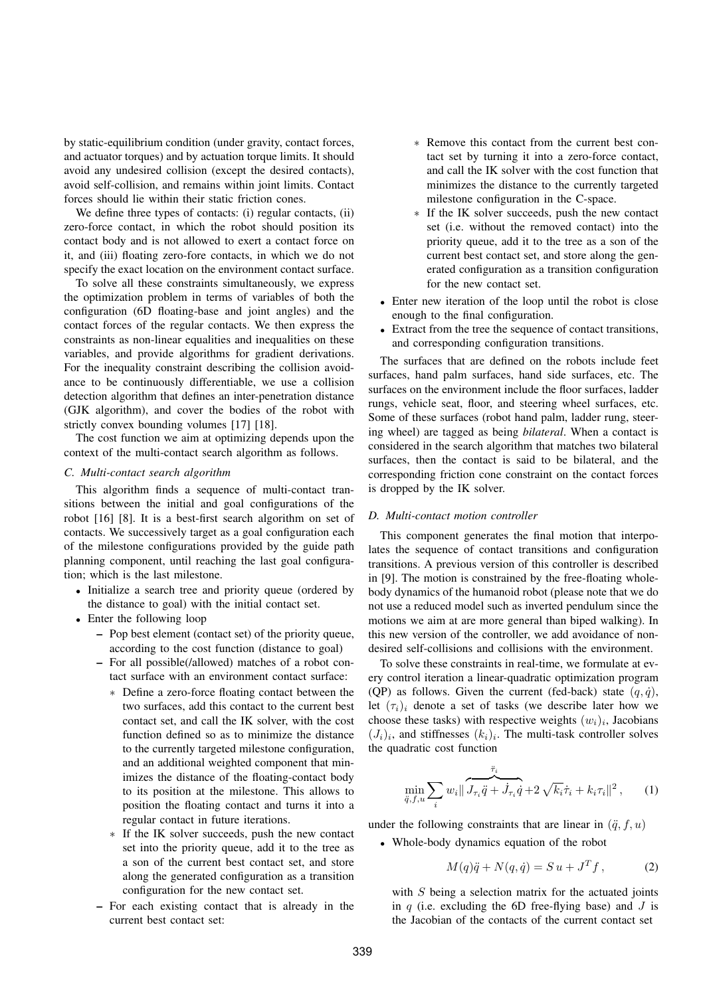by static-equilibrium condition (under gravity, contact forces, and actuator torques) and by actuation torque limits. It should avoid any undesired collision (except the desired contacts), avoid self-collision, and remains within joint limits. Contact forces should lie within their static friction cones.

We define three types of contacts: (i) regular contacts, (ii) zero-force contact, in which the robot should position its contact body and is not allowed to exert a contact force on it, and (iii) floating zero-fore contacts, in which we do not specify the exact location on the environment contact surface.

To solve all these constraints simultaneously, we express the optimization problem in terms of variables of both the configuration (6D floating-base and joint angles) and the contact forces of the regular contacts. We then express the constraints as non-linear equalities and inequalities on these variables, and provide algorithms for gradient derivations. For the inequality constraint describing the collision avoidance to be continuously differentiable, we use a collision detection algorithm that defines an inter-penetration distance (GJK algorithm), and cover the bodies of the robot with strictly convex bounding volumes [17] [18].

The cost function we aim at optimizing depends upon the context of the multi-contact search algorithm as follows.

#### *C. Multi-contact search algorithm*

This algorithm finds a sequence of multi-contact transitions between the initial and goal configurations of the robot [16] [8]. It is a best-first search algorithm on set of contacts. We successively target as a goal configuration each of the milestone configurations provided by the guide path planning component, until reaching the last goal configuration; which is the last milestone.

- Initialize a search tree and priority queue (ordered by the distance to goal) with the initial contact set.
- *•* Enter the following loop
	- Pop best element (contact set) of the priority queue, according to the cost function (distance to goal)
	- For all possible(/allowed) matches of a robot contact surface with an environment contact surface:
		- ∗ Define a zero-force floating contact between the two surfaces, add this contact to the current best contact set, and call the IK solver, with the cost function defined so as to minimize the distance to the currently targeted milestone configuration, and an additional weighted component that minimizes the distance of the floating-contact body to its position at the milestone. This allows to position the floating contact and turns it into a regular contact in future iterations.
		- ∗ If the IK solver succeeds, push the new contact set into the priority queue, add it to the tree as a son of the current best contact set, and store along the generated configuration as a transition configuration for the new contact set.
	- For each existing contact that is already in the current best contact set:
- ∗ Remove this contact from the current best contact set by turning it into a zero-force contact, and call the IK solver with the cost function that minimizes the distance to the currently targeted milestone configuration in the C-space.
- ∗ If the IK solver succeeds, push the new contact set (i.e. without the removed contact) into the priority queue, add it to the tree as a son of the current best contact set, and store along the generated configuration as a transition configuration for the new contact set.
- *•* Enter new iteration of the loop until the robot is close enough to the final configuration.
- *•* Extract from the tree the sequence of contact transitions, and corresponding configuration transitions.

The surfaces that are defined on the robots include feet surfaces, hand palm surfaces, hand side surfaces, etc. The surfaces on the environment include the floor surfaces, ladder rungs, vehicle seat, floor, and steering wheel surfaces, etc. Some of these surfaces (robot hand palm, ladder rung, steering wheel) are tagged as being *bilateral*. When a contact is considered in the search algorithm that matches two bilateral surfaces, then the contact is said to be bilateral, and the corresponding friction cone constraint on the contact forces is dropped by the IK solver.

#### *D. Multi-contact motion controller*

This component generates the final motion that interpolates the sequence of contact transitions and configuration transitions. A previous version of this controller is described in [9]. The motion is constrained by the free-floating wholebody dynamics of the humanoid robot (please note that we do not use a reduced model such as inverted pendulum since the motions we aim at are more general than biped walking). In this new version of the controller, we add avoidance of nondesired self-collisions and collisions with the environment.

To solve these constraints in real-time, we formulate at every control iteration a linear-quadratic optimization program (QP) as follows. Given the current (fed-back) state  $(q, \dot{q})$ , let  $(\tau_i)_i$  denote a set of tasks (we describe later how we choose these tasks) with respective weights  $(w_i)_i$ , Jacobians  $(J_i)_i$ , and stiffnesses  $(k_i)_i$ . The multi-task controller solves the quadratic cost function

$$
\min_{\ddot{q}, f, u} \sum_{i} w_{i} \| \overbrace{J_{\tau_{i}} \ddot{q} + J_{\tau_{i}} \dot{q}}^{\ddot{\tau}_{i}} + 2 \sqrt{k_{i}} \dot{\tau}_{i} + k_{i} \tau_{i} \|^{2}, \qquad (1)
$$

under the following constraints that are linear in  $(\ddot{q}, f, u)$ 

*•* Whole-body dynamics equation of the robot

$$
M(q)\ddot{q} + N(q,\dot{q}) = S u + J^T f, \qquad (2)
$$

with  $S$  being a selection matrix for the actuated joints in q (i.e. excluding the 6D free-flying base) and  $J$  is the Jacobian of the contacts of the current contact set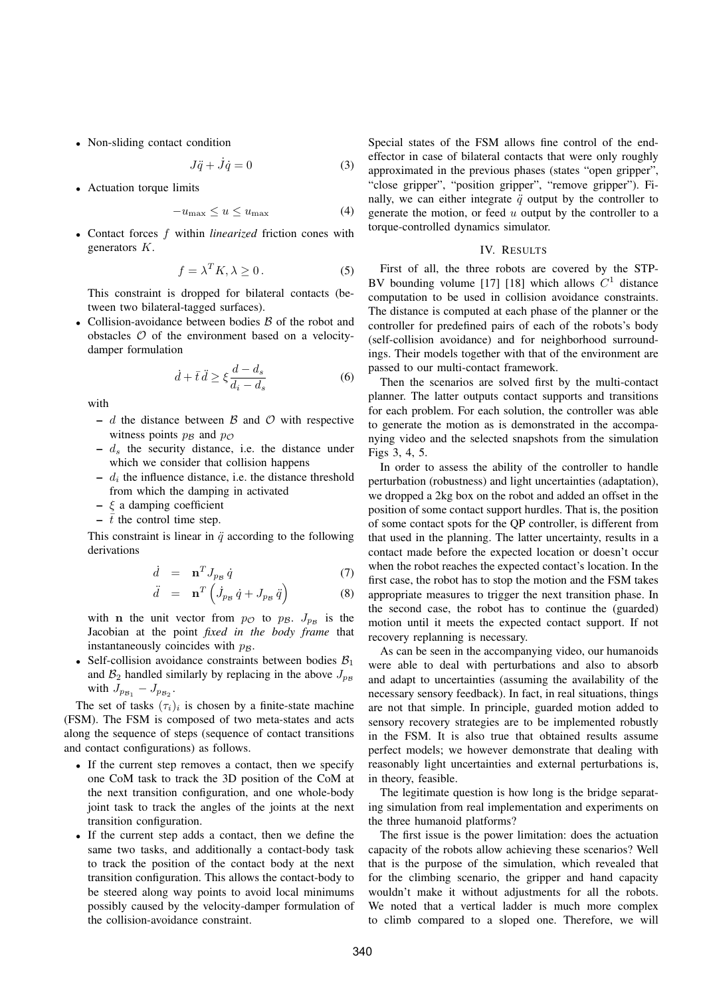• Non-sliding contact condition

$$
J\ddot{q} + \dot{J}\dot{q} = 0 \tag{3}
$$

*•* Actuation torque limits

$$
-u_{\max} \le u \le u_{\max} \tag{4}
$$

*•* Contact forces f within *linearized* friction cones with generators K.

$$
f = \lambda^T K, \lambda \ge 0.
$$
 (5)

This constraint is dropped for bilateral contacts (between two bilateral-tagged surfaces).

• Collision-avoidance between bodies  $\beta$  of the robot and obstacles  $\mathcal O$  of the environment based on a velocitydamper formulation

$$
\dot{d} + \bar{t}\,\ddot{d} \ge \xi \frac{d - d_s}{d_i - d_s} \tag{6}
$$

with

- d the distance between  $\beta$  and  $\beta$  with respective witness points  $p_B$  and  $p_O$
- $-d_s$  the security distance, i.e. the distance under which we consider that collision happens
- $d_i$  the influence distance, i.e. the distance threshold from which the damping in activated
- $\xi$  a damping coefficient
- $\bar{t}$  the control time step.

This constraint is linear in  $\ddot{q}$  according to the following derivations

$$
\dot{d} = \mathbf{n}^T J_{p\beta} \dot{q} \tag{7}
$$

$$
\ddot{d} = \mathbf{n}^T \left( \dot{J}_{p_B} \dot{q} + J_{p_B} \ddot{q} \right) \tag{8}
$$

with **n** the unit vector from  $p_{\mathcal{O}}$  to  $p_{\mathcal{B}}$ .  $J_{p_{\mathcal{B}}}$  is the Jacobian at the point *fixed in the body frame* that instantaneously coincides with  $p_B$ .

• Self-collision avoidance constraints between bodies  $B_1$ and  $\mathcal{B}_2$  handled similarly by replacing in the above  $J_{p_B}$ with  $J_{p_{\mathcal{B}_1}} - J_{p_{\mathcal{B}_2}}$ .

The set of tasks  $(\tau_i)_i$  is chosen by a finite-state machine (FSM). The FSM is composed of two meta-states and acts along the sequence of steps (sequence of contact transitions and contact configurations) as follows.

- If the current step removes a contact, then we specify one CoM task to track the 3D position of the CoM at the next transition configuration, and one whole-body joint task to track the angles of the joints at the next transition configuration.
- *•* If the current step adds a contact, then we define the same two tasks, and additionally a contact-body task to track the position of the contact body at the next transition configuration. This allows the contact-body to be steered along way points to avoid local minimums possibly caused by the velocity-damper formulation of the collision-avoidance constraint.

Special states of the FSM allows fine control of the endeffector in case of bilateral contacts that were only roughly approximated in the previous phases (states "open gripper", "close gripper", "position gripper", "remove gripper"). Finally, we can either integrate  $\ddot{q}$  output by the controller to generate the motion, or feed  $u$  output by the controller to a torque-controlled dynamics simulator.

### IV. RESULTS

First of all, the three robots are covered by the STP-BV bounding volume [17] [18] which allows  $C<sup>1</sup>$  distance computation to be used in collision avoidance constraints. The distance is computed at each phase of the planner or the controller for predefined pairs of each of the robots's body (self-collision avoidance) and for neighborhood surroundings. Their models together with that of the environment are passed to our multi-contact framework.

Then the scenarios are solved first by the multi-contact planner. The latter outputs contact supports and transitions for each problem. For each solution, the controller was able to generate the motion as is demonstrated in the accompanying video and the selected snapshots from the simulation Figs 3, 4, 5.

In order to assess the ability of the controller to handle perturbation (robustness) and light uncertainties (adaptation), we dropped a 2kg box on the robot and added an offset in the position of some contact support hurdles. That is, the position of some contact spots for the QP controller, is different from that used in the planning. The latter uncertainty, results in a contact made before the expected location or doesn't occur when the robot reaches the expected contact's location. In the first case, the robot has to stop the motion and the FSM takes appropriate measures to trigger the next transition phase. In the second case, the robot has to continue the (guarded) motion until it meets the expected contact support. If not recovery replanning is necessary.

As can be seen in the accompanying video, our humanoids were able to deal with perturbations and also to absorb and adapt to uncertainties (assuming the availability of the necessary sensory feedback). In fact, in real situations, things are not that simple. In principle, guarded motion added to sensory recovery strategies are to be implemented robustly in the FSM. It is also true that obtained results assume perfect models; we however demonstrate that dealing with reasonably light uncertainties and external perturbations is, in theory, feasible.

The legitimate question is how long is the bridge separating simulation from real implementation and experiments on the three humanoid platforms?

The first issue is the power limitation: does the actuation capacity of the robots allow achieving these scenarios? Well that is the purpose of the simulation, which revealed that for the climbing scenario, the gripper and hand capacity wouldn't make it without adjustments for all the robots. We noted that a vertical ladder is much more complex to climb compared to a sloped one. Therefore, we will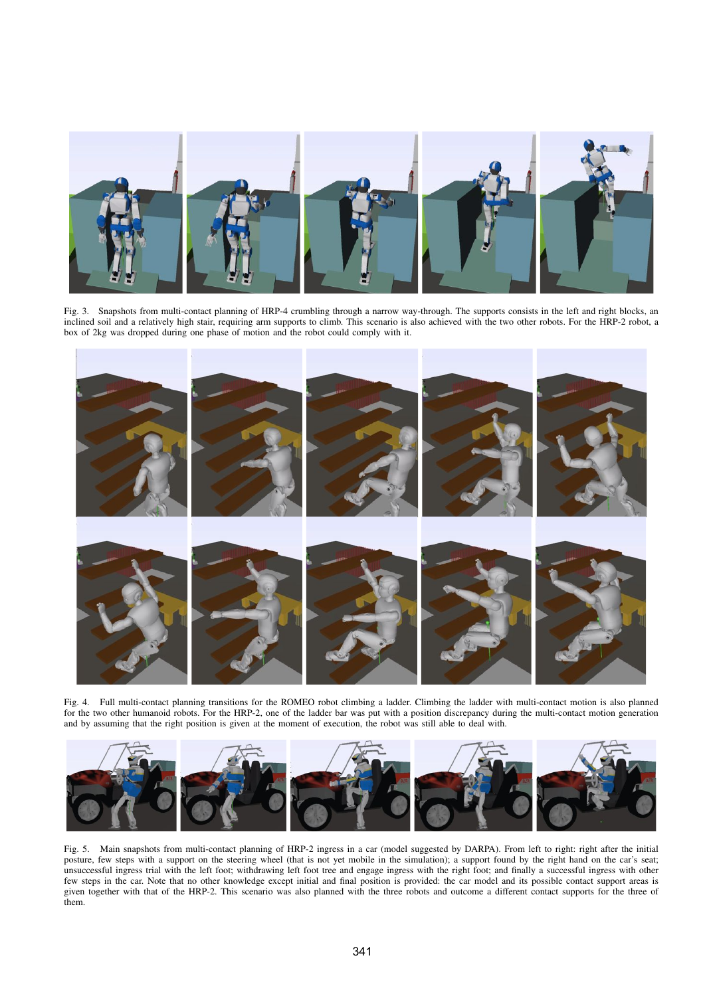

Fig. 3. Snapshots from multi-contact planning of HRP-4 crumbling through a narrow way-through. The supports consists in the left and right blocks, an inclined soil and a relatively high stair, requiring arm supports to climb. This scenario is also achieved with the two other robots. For the HRP-2 robot, a box of 2kg was dropped during one phase of motion and the robot could comply with it.



Fig. 4. Full multi-contact planning transitions for the ROMEO robot climbing a ladder. Climbing the ladder with multi-contact motion is also planned for the two other humanoid robots. For the HRP-2, one of the ladder bar was put with a position discrepancy during the multi-contact motion generation and by assuming that the right position is given at the moment of execution, the robot was still able to deal with.



Fig. 5. Main snapshots from multi-contact planning of HRP-2 ingress in a car (model suggested by DARPA). From left to right: right after the initial posture, few steps with a support on the steering wheel (that is not yet mobile in the simulation); a support found by the right hand on the car's seat; unsuccessful ingress trial with the left foot; withdrawing left foot tree and engage ingress with the right foot; and finally a successful ingress with other few steps in the car. Note that no other knowledge except initial and final position is provided: the car model and its possible contact support areas is given together with that of the HRP-2. This scenario was also planned with the three robots and outcome a different contact supports for the three of them.